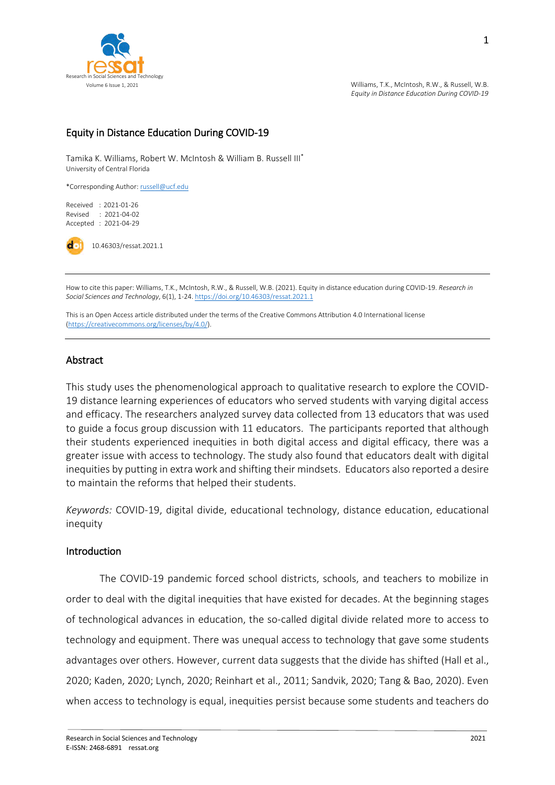

### Equity in Distance Education During COVID-19

Tamika K. Williams, Robert W. McIntosh & William B. Russell III\* University of Central Florida

\*Corresponding Author[: russell@ucf.edu](mailto:russell@ucf.edu)

Received : 2021-01-26 Revised : 2021-04-02 Accepted : 2021-04-29

10.46303/ressat.2021.1

How to cite this paper: Williams, T.K., McIntosh, R.W., & Russell, W.B. (2021). Equity in distance education during COVID-19. *Research in Social Sciences and Technology*, 6(1), 1-24[. https://doi.org/10.46303/ressat.2021.1](https://doi.org/10.46303/ressat.2021.1)

This is an Open Access article distributed under the terms of the Creative Commons Attribution 4.0 International license [\(https://creativecommons.org/licenses/by/4.0/\).](https://creativecommons.org/licenses/by/4.0/)

#### Abstract

This study uses the phenomenological approach to qualitative research to explore the COVID-19 distance learning experiences of educators who served students with varying digital access and efficacy. The researchers analyzed survey data collected from 13 educators that was used to guide a focus group discussion with 11 educators. The participants reported that although their students experienced inequities in both digital access and digital efficacy, there was a greater issue with access to technology. The study also found that educators dealt with digital inequities by putting in extra work and shifting their mindsets. Educators also reported a desire to maintain the reforms that helped their students.

*Keywords:* COVID-19, digital divide, educational technology, distance education, educational inequity

#### Introduction

The COVID-19 pandemic forced school districts, schools, and teachers to mobilize in order to deal with the digital inequities that have existed for decades. At the beginning stages of technological advances in education, the so-called digital divide related more to access to technology and equipment. There was unequal access to technology that gave some students advantages over others. However, current data suggests that the divide has shifted (Hall et al., 2020; Kaden, 2020; Lynch, 2020; Reinhart et al., 2011; Sandvik, 2020; Tang & Bao, 2020). Even when access to technology is equal, inequities persist because some students and teachers do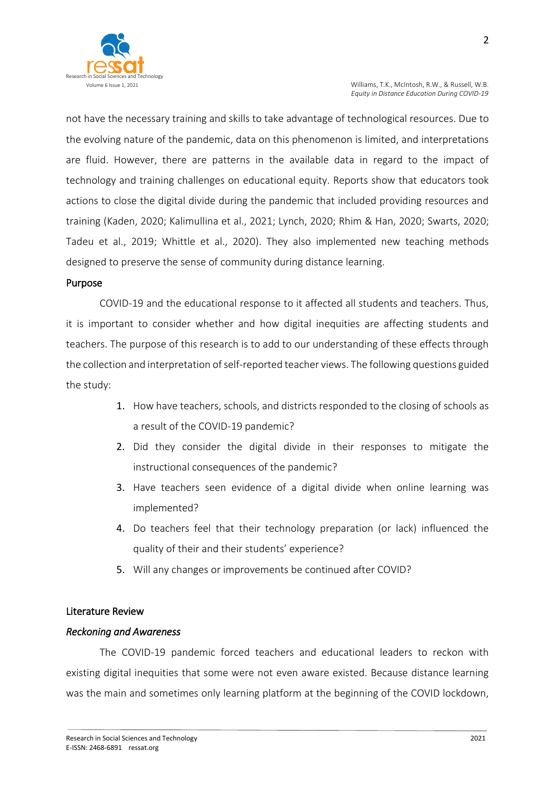

not have the necessary training and skills to take advantage of technological resources. Due to the evolving nature of the pandemic, data on this phenomenon is limited, and interpretations are fluid. However, there are patterns in the available data in regard to the impact of technology and training challenges on educational equity. Reports show that educators took actions to close the digital divide during the pandemic that included providing resources and training (Kaden, 2020; Kalimullina et al., 2021; Lynch, 2020; Rhim & Han, 2020; Swarts, 2020; Tadeu et al., 2019; Whittle et al., 2020). They also implemented new teaching methods designed to preserve the sense of community during distance learning.

### Purpose

COVID-19 and the educational response to it affected all students and teachers. Thus, it is important to consider whether and how digital inequities are affecting students and teachers. The purpose of this research is to add to our understanding of these effects through the collection and interpretation of self-reported teacher views. The following questions guided the study:

- 1. How have teachers, schools, and districts responded to the closing of schools as a result of the COVID-19 pandemic?
- 2. Did they consider the digital divide in their responses to mitigate the instructional consequences of the pandemic?
- 3. Have teachers seen evidence of a digital divide when online learning was implemented?
- 4. Do teachers feel that their technology preparation (or lack) influenced the quality of their and their students' experience?
- 5. Will any changes or improvements be continued after COVID?

### Literature Review

#### *Reckoning and Awareness*

The COVID-19 pandemic forced teachers and educational leaders to reckon with existing digital inequities that some were not even aware existed. Because distance learning was the main and sometimes only learning platform at the beginning of the COVID lockdown,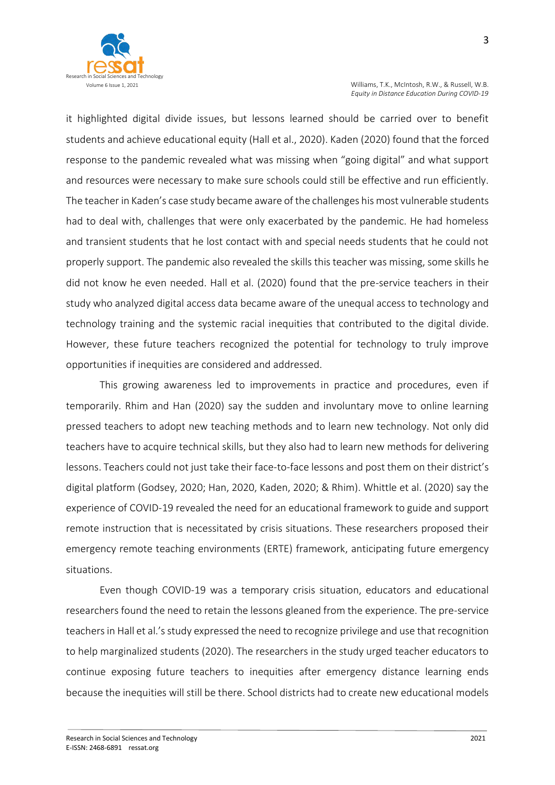

it highlighted digital divide issues, but lessons learned should be carried over to benefit students and achieve educational equity (Hall et al., 2020). Kaden (2020) found that the forced response to the pandemic revealed what was missing when "going digital" and what support and resources were necessary to make sure schools could still be effective and run efficiently. The teacher in Kaden's case study became aware of the challenges his most vulnerable students had to deal with, challenges that were only exacerbated by the pandemic. He had homeless and transient students that he lost contact with and special needs students that he could not properly support. The pandemic also revealed the skills this teacher was missing, some skills he did not know he even needed. Hall et al. (2020) found that the pre-service teachers in their study who analyzed digital access data became aware of the unequal access to technology and technology training and the systemic racial inequities that contributed to the digital divide. However, these future teachers recognized the potential for technology to truly improve opportunities if inequities are considered and addressed.

This growing awareness led to improvements in practice and procedures, even if temporarily. Rhim and Han (2020) say the sudden and involuntary move to online learning pressed teachers to adopt new teaching methods and to learn new technology. Not only did teachers have to acquire technical skills, but they also had to learn new methods for delivering lessons. Teachers could not just take their face-to-face lessons and post them on their district's digital platform (Godsey, 2020; Han, 2020, Kaden, 2020; & Rhim). Whittle et al. (2020) say the experience of COVID-19 revealed the need for an educational framework to guide and support remote instruction that is necessitated by crisis situations. These researchers proposed their emergency remote teaching environments (ERTE) framework, anticipating future emergency situations.

Even though COVID-19 was a temporary crisis situation, educators and educational researchers found the need to retain the lessons gleaned from the experience. The pre-service teachers in Hall et al.'s study expressed the need to recognize privilege and use that recognition to help marginalized students (2020). The researchers in the study urged teacher educators to continue exposing future teachers to inequities after emergency distance learning ends because the inequities will still be there. School districts had to create new educational models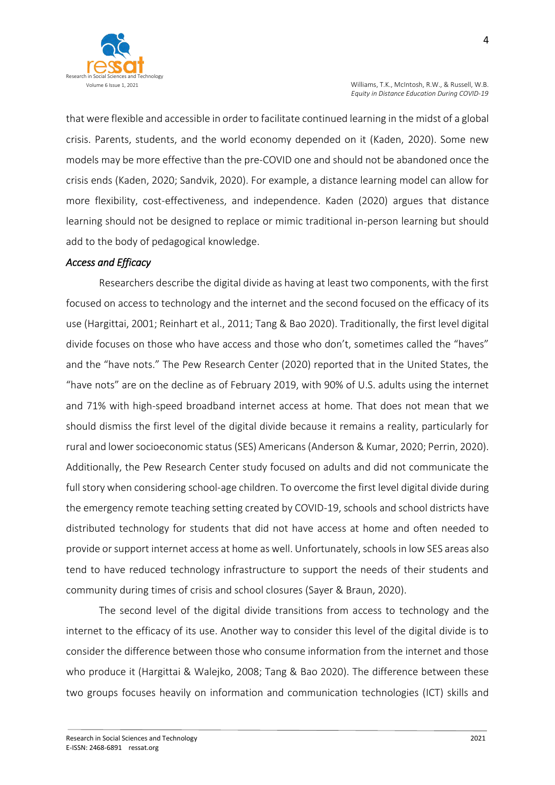

that were flexible and accessible in order to facilitate continued learning in the midst of a global crisis. Parents, students, and the world economy depended on it (Kaden, 2020). Some new models may be more effective than the pre-COVID one and should not be abandoned once the crisis ends (Kaden, 2020; Sandvik, 2020). For example, a distance learning model can allow for more flexibility, cost-effectiveness, and independence. Kaden (2020) argues that distance learning should not be designed to replace or mimic traditional in-person learning but should add to the body of pedagogical knowledge.

### *Access and Efficacy*

Researchers describe the digital divide as having at least two components, with the first focused on access to technology and the internet and the second focused on the efficacy of its use (Hargittai, 2001; Reinhart et al., 2011; Tang & Bao 2020). Traditionally, the first level digital divide focuses on those who have access and those who don't, sometimes called the "haves" and the "have nots." The Pew Research Center (2020) reported that in the United States, the "have nots" are on the decline as of February 2019, with 90% of U.S. adults using the internet and 71% with high-speed broadband internet access at home. That does not mean that we should dismiss the first level of the digital divide because it remains a reality, particularly for rural and lower socioeconomic status (SES) Americans (Anderson & Kumar, 2020; Perrin, 2020). Additionally, the Pew Research Center study focused on adults and did not communicate the full story when considering school-age children. To overcome the first level digital divide during the emergency remote teaching setting created by COVID-19, schools and school districts have distributed technology for students that did not have access at home and often needed to provide or support internet access at home as well. Unfortunately, schools in low SES areas also tend to have reduced technology infrastructure to support the needs of their students and community during times of crisis and school closures (Sayer & Braun, 2020).

The second level of the digital divide transitions from access to technology and the internet to the efficacy of its use. Another way to consider this level of the digital divide is to consider the difference between those who consume information from the internet and those who produce it (Hargittai & Walejko, 2008; Tang & Bao 2020). The difference between these two groups focuses heavily on information and communication technologies (ICT) skills and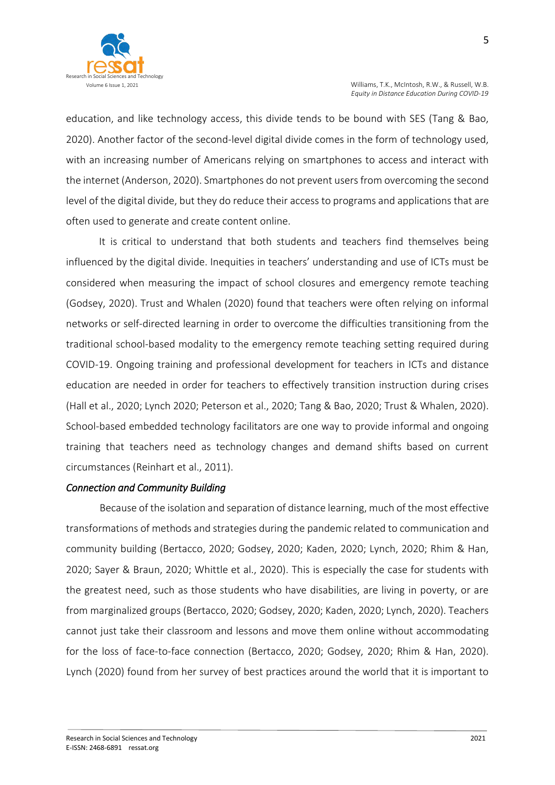

education, and like technology access, this divide tends to be bound with SES (Tang & Bao, 2020). Another factor of the second-level digital divide comes in the form of technology used, with an increasing number of Americans relying on smartphones to access and interact with the internet (Anderson, 2020). Smartphones do not prevent users from overcoming the second level of the digital divide, but they do reduce their access to programs and applications that are often used to generate and create content online.

It is critical to understand that both students and teachers find themselves being influenced by the digital divide. Inequities in teachers' understanding and use of ICTs must be considered when measuring the impact of school closures and emergency remote teaching (Godsey, 2020). Trust and Whalen (2020) found that teachers were often relying on informal networks or self-directed learning in order to overcome the difficulties transitioning from the traditional school-based modality to the emergency remote teaching setting required during COVID-19. Ongoing training and professional development for teachers in ICTs and distance education are needed in order for teachers to effectively transition instruction during crises (Hall et al., 2020; Lynch 2020; Peterson et al., 2020; Tang & Bao, 2020; Trust & Whalen, 2020). School-based embedded technology facilitators are one way to provide informal and ongoing training that teachers need as technology changes and demand shifts based on current circumstances (Reinhart et al., 2011).

### *Connection and Community Building*

Because of the isolation and separation of distance learning, much of the most effective transformations of methods and strategies during the pandemic related to communication and community building (Bertacco, 2020; Godsey, 2020; Kaden, 2020; Lynch, 2020; Rhim & Han, 2020; Sayer & Braun, 2020; Whittle et al., 2020). This is especially the case for students with the greatest need, such as those students who have disabilities, are living in poverty, or are from marginalized groups (Bertacco, 2020; Godsey, 2020; Kaden, 2020; Lynch, 2020). Teachers cannot just take their classroom and lessons and move them online without accommodating for the loss of face-to-face connection (Bertacco, 2020; Godsey, 2020; Rhim & Han, 2020). Lynch (2020) found from her survey of best practices around the world that it is important to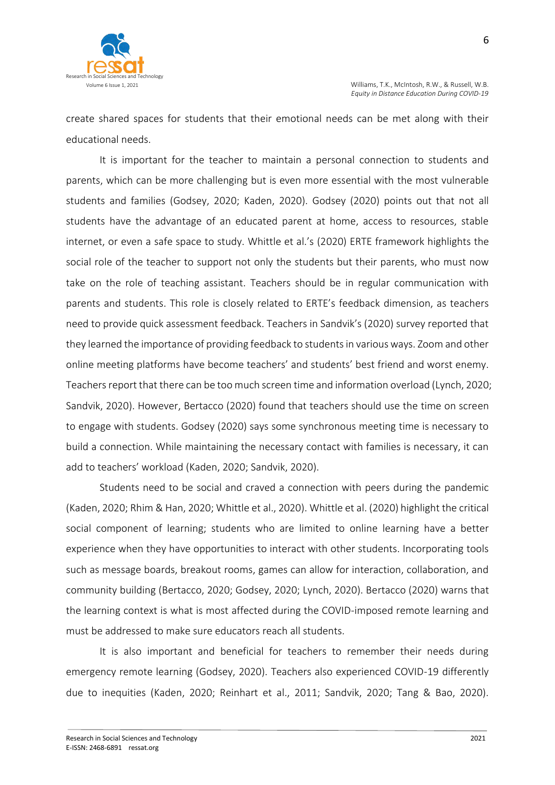

create shared spaces for students that their emotional needs can be met along with their educational needs.

It is important for the teacher to maintain a personal connection to students and parents, which can be more challenging but is even more essential with the most vulnerable students and families (Godsey, 2020; Kaden, 2020). Godsey (2020) points out that not all students have the advantage of an educated parent at home, access to resources, stable internet, or even a safe space to study. Whittle et al.'s (2020) ERTE framework highlights the social role of the teacher to support not only the students but their parents, who must now take on the role of teaching assistant. Teachers should be in regular communication with parents and students. This role is closely related to ERTE's feedback dimension, as teachers need to provide quick assessment feedback. Teachers in Sandvik's (2020) survey reported that they learned the importance of providing feedback to students in various ways. Zoom and other online meeting platforms have become teachers' and students' best friend and worst enemy. Teachers report that there can be too much screen time and information overload (Lynch, 2020; Sandvik, 2020). However, Bertacco (2020) found that teachers should use the time on screen to engage with students. Godsey (2020) says some synchronous meeting time is necessary to build a connection. While maintaining the necessary contact with families is necessary, it can add to teachers' workload (Kaden, 2020; Sandvik, 2020).

Students need to be social and craved a connection with peers during the pandemic (Kaden, 2020; Rhim & Han, 2020; Whittle et al., 2020). Whittle et al. (2020) highlight the critical social component of learning; students who are limited to online learning have a better experience when they have opportunities to interact with other students. Incorporating tools such as message boards, breakout rooms, games can allow for interaction, collaboration, and community building (Bertacco, 2020; Godsey, 2020; Lynch, 2020). Bertacco (2020) warns that the learning context is what is most affected during the COVID-imposed remote learning and must be addressed to make sure educators reach all students.

It is also important and beneficial for teachers to remember their needs during emergency remote learning (Godsey, 2020). Teachers also experienced COVID-19 differently due to inequities (Kaden, 2020; Reinhart et al., 2011; Sandvik, 2020; Tang & Bao, 2020).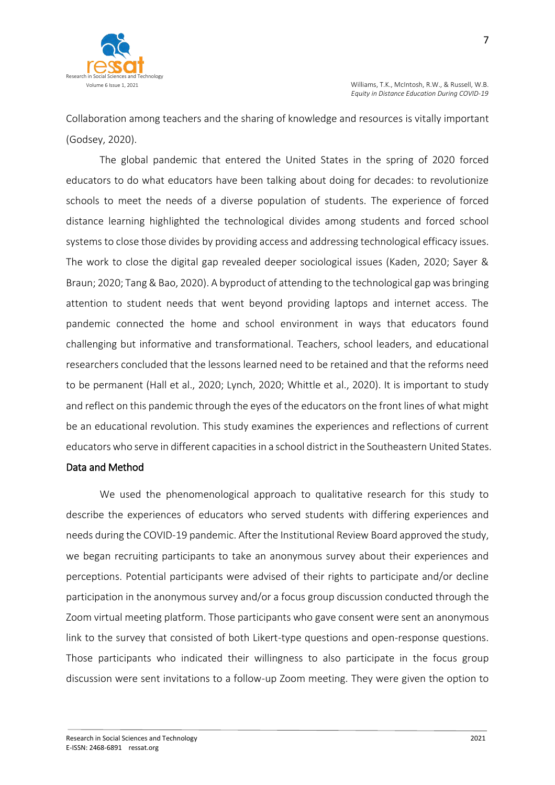

Collaboration among teachers and the sharing of knowledge and resources is vitally important (Godsey, 2020).

The global pandemic that entered the United States in the spring of 2020 forced educators to do what educators have been talking about doing for decades: to revolutionize schools to meet the needs of a diverse population of students. The experience of forced distance learning highlighted the technological divides among students and forced school systems to close those divides by providing access and addressing technological efficacy issues. The work to close the digital gap revealed deeper sociological issues (Kaden, 2020; Sayer & Braun; 2020; Tang & Bao, 2020). A byproduct of attending to the technological gap was bringing attention to student needs that went beyond providing laptops and internet access. The pandemic connected the home and school environment in ways that educators found challenging but informative and transformational. Teachers, school leaders, and educational researchers concluded that the lessons learned need to be retained and that the reforms need to be permanent (Hall et al., 2020; Lynch, 2020; Whittle et al., 2020). It is important to study and reflect on this pandemic through the eyes of the educators on the front lines of what might be an educational revolution. This study examines the experiences and reflections of current educators who serve in different capacities in a school district in the Southeastern United States.

#### Data and Method

We used the phenomenological approach to qualitative research for this study to describe the experiences of educators who served students with differing experiences and needs during the COVID-19 pandemic. After the Institutional Review Board approved the study, we began recruiting participants to take an anonymous survey about their experiences and perceptions. Potential participants were advised of their rights to participate and/or decline participation in the anonymous survey and/or a focus group discussion conducted through the Zoom virtual meeting platform. Those participants who gave consent were sent an anonymous link to the survey that consisted of both Likert-type questions and open-response questions. Those participants who indicated their willingness to also participate in the focus group discussion were sent invitations to a follow-up Zoom meeting. They were given the option to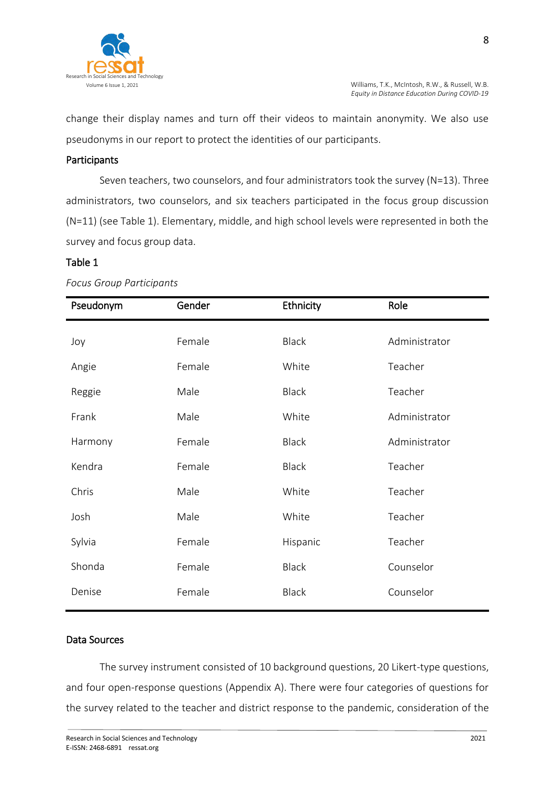

change their display names and turn off their videos to maintain anonymity. We also use pseudonyms in our report to protect the identities of our participants.

### Participants

Seven teachers, two counselors, and four administrators took the survey (N=13). Three administrators, two counselors, and six teachers participated in the focus group discussion (N=11) (see Table 1). Elementary, middle, and high school levels were represented in both the survey and focus group data.

### Table 1

| Pseudonym | Gender | Ethnicity    | Role          |
|-----------|--------|--------------|---------------|
| Joy       | Female | <b>Black</b> | Administrator |
| Angie     | Female | White        | Teacher       |
| Reggie    | Male   | <b>Black</b> | Teacher       |
| Frank     | Male   | White        | Administrator |
| Harmony   | Female | <b>Black</b> | Administrator |
| Kendra    | Female | <b>Black</b> | Teacher       |
| Chris     | Male   | White        | Teacher       |
| Josh      | Male   | White        | Teacher       |
| Sylvia    | Female | Hispanic     | Teacher       |
| Shonda    | Female | <b>Black</b> | Counselor     |
| Denise    | Female | <b>Black</b> | Counselor     |

#### *Focus Group Participants*

## Data Sources

The survey instrument consisted of 10 background questions, 20 Likert-type questions, and four open-response questions (Appendix A). There were four categories of questions for the survey related to the teacher and district response to the pandemic, consideration of the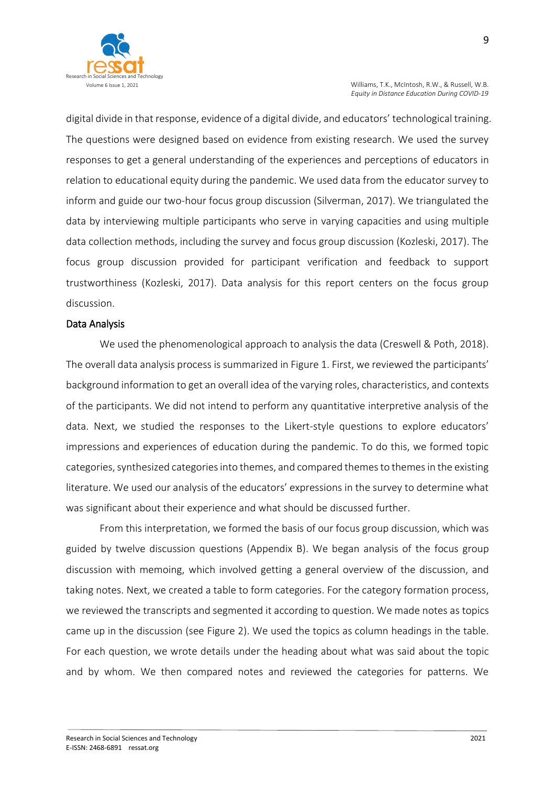

digital divide in that response, evidence of a digital divide, and educators' technological training. The questions were designed based on evidence from existing research. We used the survey responses to get a general understanding of the experiences and perceptions of educators in relation to educational equity during the pandemic. We used data from the educator survey to inform and guide our two-hour focus group discussion (Silverman, 2017). We triangulated the data by interviewing multiple participants who serve in varying capacities and using multiple data collection methods, including the survey and focus group discussion (Kozleski, 2017). The focus group discussion provided for participant verification and feedback to support trustworthiness (Kozleski, 2017). Data analysis for this report centers on the focus group discussion.

#### Data Analysis

We used the phenomenological approach to analysis the data (Creswell & Poth, 2018). The overall data analysis process is summarized in Figure 1. First, we reviewed the participants' background information to get an overall idea of the varying roles, characteristics, and contexts of the participants. We did not intend to perform any quantitative interpretive analysis of the data. Next, we studied the responses to the Likert-style questions to explore educators' impressions and experiences of education during the pandemic. To do this, we formed topic categories, synthesized categories into themes, and compared themes to themes in the existing literature. We used our analysis of the educators' expressions in the survey to determine what was significant about their experience and what should be discussed further.

From this interpretation, we formed the basis of our focus group discussion, which was guided by twelve discussion questions (Appendix B). We began analysis of the focus group discussion with memoing, which involved getting a general overview of the discussion, and taking notes. Next, we created a table to form categories. For the category formation process, we reviewed the transcripts and segmented it according to question. We made notes as topics came up in the discussion (see Figure 2). We used the topics as column headings in the table. For each question, we wrote details under the heading about what was said about the topic and by whom. We then compared notes and reviewed the categories for patterns. We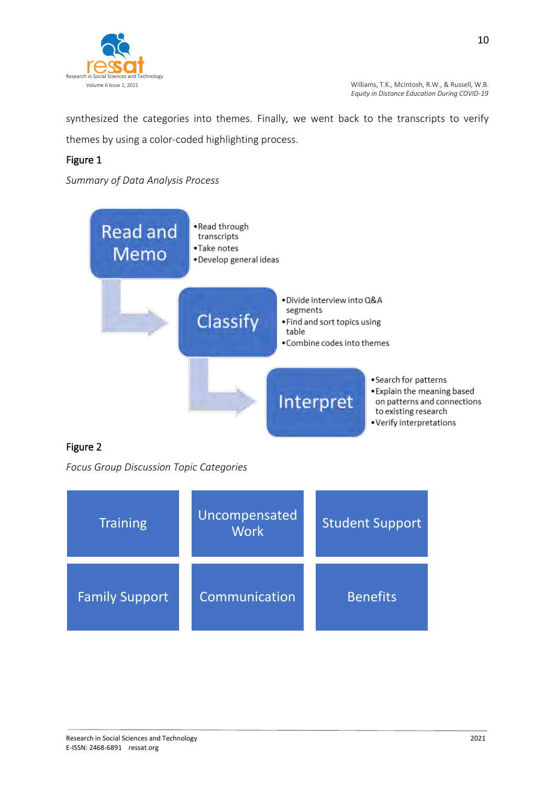

synthesized the categories into themes. Finally, we went back to the transcripts to verify themes by using a color-coded highlighting process.

# Figure 1

*Summary of Data Analysis Process*



# Figure 2

*Focus Group Discussion Topic Categories* 

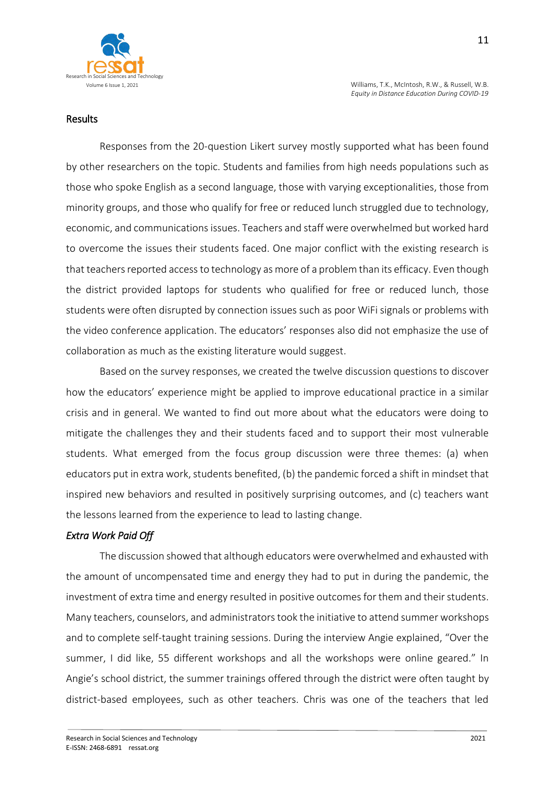

#### Results

Responses from the 20-question Likert survey mostly supported what has been found by other researchers on the topic. Students and families from high needs populations such as those who spoke English as a second language, those with varying exceptionalities, those from minority groups, and those who qualify for free or reduced lunch struggled due to technology, economic, and communications issues. Teachers and staff were overwhelmed but worked hard to overcome the issues their students faced. One major conflict with the existing research is that teachers reported access to technology as more of a problem than its efficacy. Even though the district provided laptops for students who qualified for free or reduced lunch, those students were often disrupted by connection issues such as poor WiFi signals or problems with the video conference application. The educators' responses also did not emphasize the use of collaboration as much as the existing literature would suggest.

Based on the survey responses, we created the twelve discussion questions to discover how the educators' experience might be applied to improve educational practice in a similar crisis and in general. We wanted to find out more about what the educators were doing to mitigate the challenges they and their students faced and to support their most vulnerable students. What emerged from the focus group discussion were three themes: (a) when educators put in extra work, students benefited, (b) the pandemic forced a shift in mindset that inspired new behaviors and resulted in positively surprising outcomes, and (c) teachers want the lessons learned from the experience to lead to lasting change.

### *Extra Work Paid Off*

The discussion showed that although educators were overwhelmed and exhausted with the amount of uncompensated time and energy they had to put in during the pandemic, the investment of extra time and energy resulted in positive outcomes for them and their students. Many teachers, counselors, and administrators took the initiative to attend summer workshops and to complete self-taught training sessions. During the interview Angie explained, "Over the summer, I did like, 55 different workshops and all the workshops were online geared." In Angie's school district, the summer trainings offered through the district were often taught by district-based employees, such as other teachers. Chris was one of the teachers that led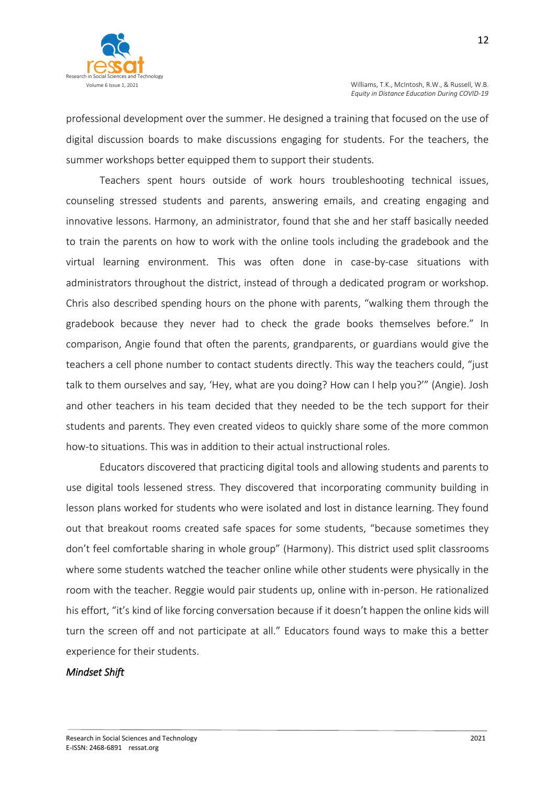professional development over the summer. He designed a training that focused on the use of digital discussion boards to make discussions engaging for students. For the teachers, the summer workshops better equipped them to support their students.

Teachers spent hours outside of work hours troubleshooting technical issues, counseling stressed students and parents, answering emails, and creating engaging and innovative lessons. Harmony, an administrator, found that she and her staff basically needed to train the parents on how to work with the online tools including the gradebook and the virtual learning environment. This was often done in case-by-case situations with administrators throughout the district, instead of through a dedicated program or workshop. Chris also described spending hours on the phone with parents, "walking them through the gradebook because they never had to check the grade books themselves before." In comparison, Angie found that often the parents, grandparents, or guardians would give the teachers a cell phone number to contact students directly. This way the teachers could, "just talk to them ourselves and say, 'Hey, what are you doing? How can I help you?'" (Angie). Josh and other teachers in his team decided that they needed to be the tech support for their students and parents. They even created videos to quickly share some of the more common how-to situations. This was in addition to their actual instructional roles.

Educators discovered that practicing digital tools and allowing students and parents to use digital tools lessened stress. They discovered that incorporating community building in lesson plans worked for students who were isolated and lost in distance learning. They found out that breakout rooms created safe spaces for some students, "because sometimes they don't feel comfortable sharing in whole group" (Harmony). This district used split classrooms where some students watched the teacher online while other students were physically in the room with the teacher. Reggie would pair students up, online with in-person. He rationalized his effort, "it's kind of like forcing conversation because if it doesn't happen the online kids will turn the screen off and not participate at all." Educators found ways to make this a better experience for their students.

#### *Mindset Shift*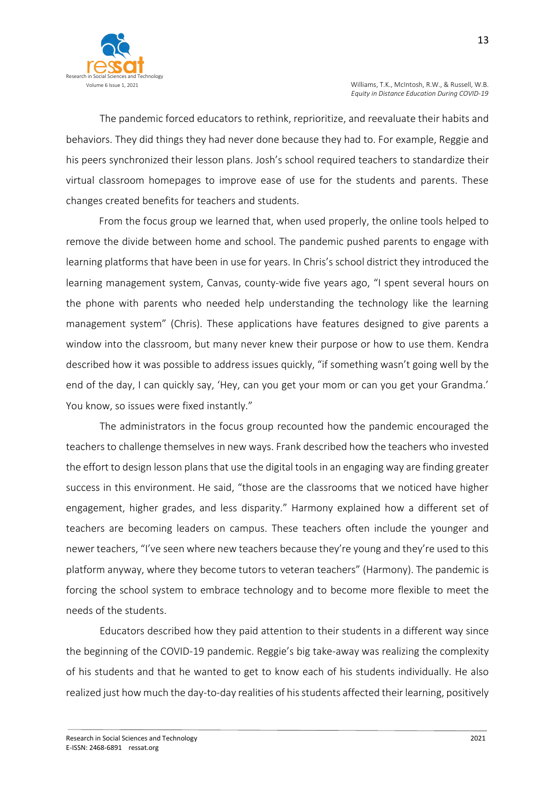

The pandemic forced educators to rethink, reprioritize, and reevaluate their habits and behaviors. They did things they had never done because they had to. For example, Reggie and his peers synchronized their lesson plans. Josh's school required teachers to standardize their virtual classroom homepages to improve ease of use for the students and parents. These changes created benefits for teachers and students.

From the focus group we learned that, when used properly, the online tools helped to remove the divide between home and school. The pandemic pushed parents to engage with learning platforms that have been in use for years. In Chris's school district they introduced the learning management system, Canvas, county-wide five years ago, "I spent several hours on the phone with parents who needed help understanding the technology like the learning management system" (Chris). These applications have features designed to give parents a window into the classroom, but many never knew their purpose or how to use them. Kendra described how it was possible to address issues quickly, "if something wasn't going well by the end of the day, I can quickly say, 'Hey, can you get your mom or can you get your Grandma.' You know, so issues were fixed instantly."

The administrators in the focus group recounted how the pandemic encouraged the teachers to challenge themselves in new ways. Frank described how the teachers who invested the effort to design lesson plans that use the digital tools in an engaging way are finding greater success in this environment. He said, "those are the classrooms that we noticed have higher engagement, higher grades, and less disparity." Harmony explained how a different set of teachers are becoming leaders on campus. These teachers often include the younger and newer teachers, "I've seen where new teachers because they're young and they're used to this platform anyway, where they become tutors to veteran teachers" (Harmony). The pandemic is forcing the school system to embrace technology and to become more flexible to meet the needs of the students.

Educators described how they paid attention to their students in a different way since the beginning of the COVID-19 pandemic. Reggie's big take-away was realizing the complexity of his students and that he wanted to get to know each of his students individually. He also realized just how much the day-to-day realities of his students affected their learning, positively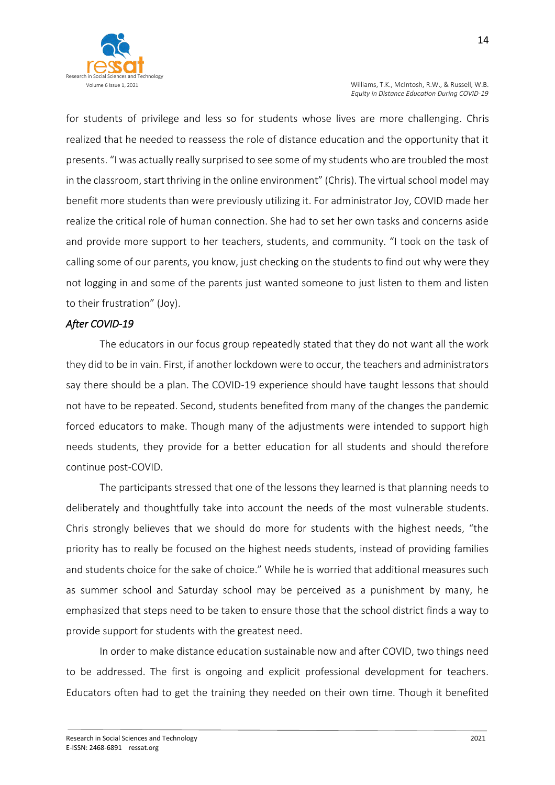

for students of privilege and less so for students whose lives are more challenging. Chris realized that he needed to reassess the role of distance education and the opportunity that it presents. "I was actually really surprised to see some of my students who are troubled the most in the classroom, start thriving in the online environment" (Chris). The virtual school model may benefit more students than were previously utilizing it. For administrator Joy, COVID made her realize the critical role of human connection. She had to set her own tasks and concerns aside and provide more support to her teachers, students, and community. "I took on the task of calling some of our parents, you know, just checking on the students to find out why were they not logging in and some of the parents just wanted someone to just listen to them and listen to their frustration" (Joy).

### *After COVID-19*

The educators in our focus group repeatedly stated that they do not want all the work they did to be in vain. First, if another lockdown were to occur, the teachers and administrators say there should be a plan. The COVID-19 experience should have taught lessons that should not have to be repeated. Second, students benefited from many of the changes the pandemic forced educators to make. Though many of the adjustments were intended to support high needs students, they provide for a better education for all students and should therefore continue post-COVID.

The participants stressed that one of the lessons they learned is that planning needs to deliberately and thoughtfully take into account the needs of the most vulnerable students. Chris strongly believes that we should do more for students with the highest needs, "the priority has to really be focused on the highest needs students, instead of providing families and students choice for the sake of choice." While he is worried that additional measures such as summer school and Saturday school may be perceived as a punishment by many, he emphasized that steps need to be taken to ensure those that the school district finds a way to provide support for students with the greatest need.

In order to make distance education sustainable now and after COVID, two things need to be addressed. The first is ongoing and explicit professional development for teachers. Educators often had to get the training they needed on their own time. Though it benefited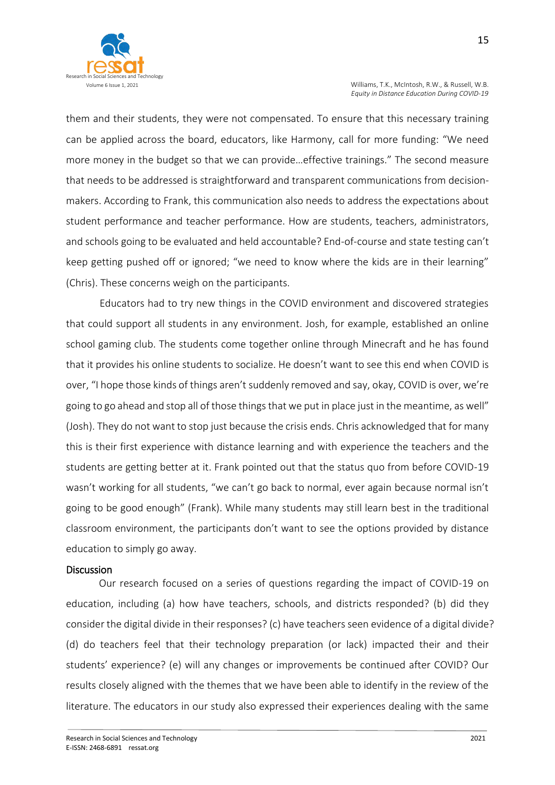them and their students, they were not compensated. To ensure that this necessary training can be applied across the board, educators, like Harmony, call for more funding: "We need more money in the budget so that we can provide…effective trainings." The second measure that needs to be addressed is straightforward and transparent communications from decisionmakers. According to Frank, this communication also needs to address the expectations about student performance and teacher performance. How are students, teachers, administrators, and schools going to be evaluated and held accountable? End-of-course and state testing can't keep getting pushed off or ignored; "we need to know where the kids are in their learning" (Chris). These concerns weigh on the participants.

Educators had to try new things in the COVID environment and discovered strategies that could support all students in any environment. Josh, for example, established an online school gaming club. The students come together online through Minecraft and he has found that it provides his online students to socialize. He doesn't want to see this end when COVID is over, "I hope those kinds of things aren't suddenly removed and say, okay, COVID is over, we're going to go ahead and stop all of those things that we put in place just in the meantime, as well" (Josh). They do not want to stop just because the crisis ends. Chris acknowledged that for many this is their first experience with distance learning and with experience the teachers and the students are getting better at it. Frank pointed out that the status quo from before COVID-19 wasn't working for all students, "we can't go back to normal, ever again because normal isn't going to be good enough" (Frank). While many students may still learn best in the traditional classroom environment, the participants don't want to see the options provided by distance education to simply go away.

#### **Discussion**

Our research focused on a series of questions regarding the impact of COVID-19 on education, including (a) how have teachers, schools, and districts responded? (b) did they consider the digital divide in their responses? (c) have teachers seen evidence of a digital divide? (d) do teachers feel that their technology preparation (or lack) impacted their and their students' experience? (e) will any changes or improvements be continued after COVID? Our results closely aligned with the themes that we have been able to identify in the review of the literature. The educators in our study also expressed their experiences dealing with the same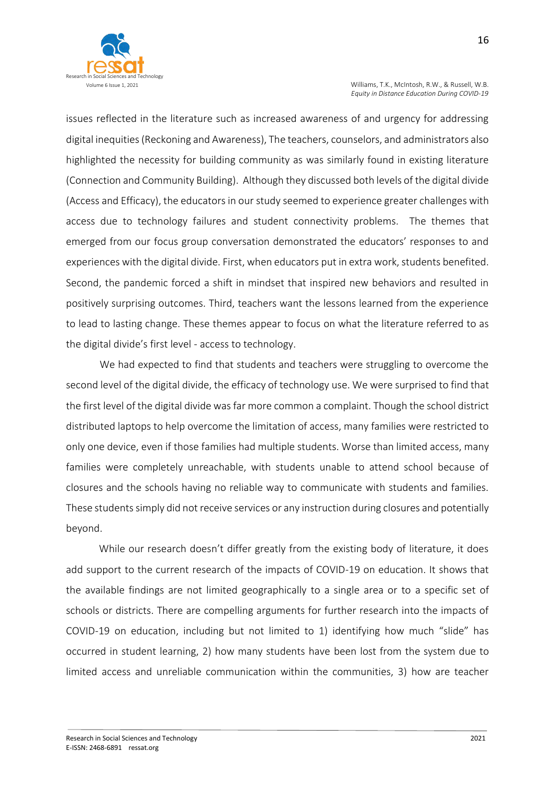

issues reflected in the literature such as increased awareness of and urgency for addressing digital inequities (Reckoning and Awareness), The teachers, counselors, and administrators also highlighted the necessity for building community as was similarly found in existing literature (Connection and Community Building). Although they discussed both levels of the digital divide (Access and Efficacy), the educators in our study seemed to experience greater challenges with access due to technology failures and student connectivity problems. The themes that emerged from our focus group conversation demonstrated the educators' responses to and experiences with the digital divide. First, when educators put in extra work, students benefited. Second, the pandemic forced a shift in mindset that inspired new behaviors and resulted in positively surprising outcomes. Third, teachers want the lessons learned from the experience to lead to lasting change. These themes appear to focus on what the literature referred to as the digital divide's first level - access to technology.

We had expected to find that students and teachers were struggling to overcome the second level of the digital divide, the efficacy of technology use. We were surprised to find that the first level of the digital divide was far more common a complaint. Though the school district distributed laptops to help overcome the limitation of access, many families were restricted to only one device, even if those families had multiple students. Worse than limited access, many families were completely unreachable, with students unable to attend school because of closures and the schools having no reliable way to communicate with students and families. These students simply did not receive services or any instruction during closures and potentially beyond.

While our research doesn't differ greatly from the existing body of literature, it does add support to the current research of the impacts of COVID-19 on education. It shows that the available findings are not limited geographically to a single area or to a specific set of schools or districts. There are compelling arguments for further research into the impacts of COVID-19 on education, including but not limited to 1) identifying how much "slide" has occurred in student learning, 2) how many students have been lost from the system due to limited access and unreliable communication within the communities, 3) how are teacher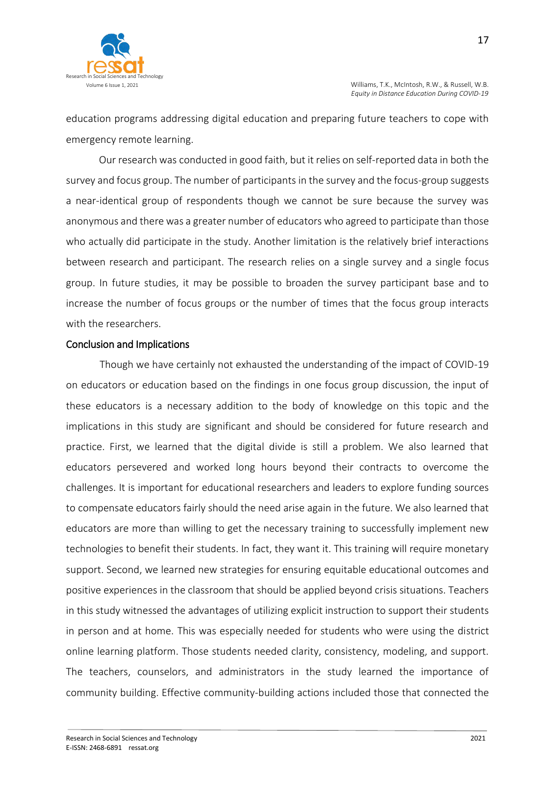

education programs addressing digital education and preparing future teachers to cope with emergency remote learning.

Our research was conducted in good faith, but it relies on self-reported data in both the survey and focus group. The number of participants in the survey and the focus-group suggests a near-identical group of respondents though we cannot be sure because the survey was anonymous and there was a greater number of educators who agreed to participate than those who actually did participate in the study. Another limitation is the relatively brief interactions between research and participant. The research relies on a single survey and a single focus group. In future studies, it may be possible to broaden the survey participant base and to increase the number of focus groups or the number of times that the focus group interacts with the researchers.

#### Conclusion and Implications

Though we have certainly not exhausted the understanding of the impact of COVID-19 on educators or education based on the findings in one focus group discussion, the input of these educators is a necessary addition to the body of knowledge on this topic and the implications in this study are significant and should be considered for future research and practice. First, we learned that the digital divide is still a problem. We also learned that educators persevered and worked long hours beyond their contracts to overcome the challenges. It is important for educational researchers and leaders to explore funding sources to compensate educators fairly should the need arise again in the future. We also learned that educators are more than willing to get the necessary training to successfully implement new technologies to benefit their students. In fact, they want it. This training will require monetary support. Second, we learned new strategies for ensuring equitable educational outcomes and positive experiences in the classroom that should be applied beyond crisis situations. Teachers in this study witnessed the advantages of utilizing explicit instruction to support their students in person and at home. This was especially needed for students who were using the district online learning platform. Those students needed clarity, consistency, modeling, and support. The teachers, counselors, and administrators in the study learned the importance of community building. Effective community-building actions included those that connected the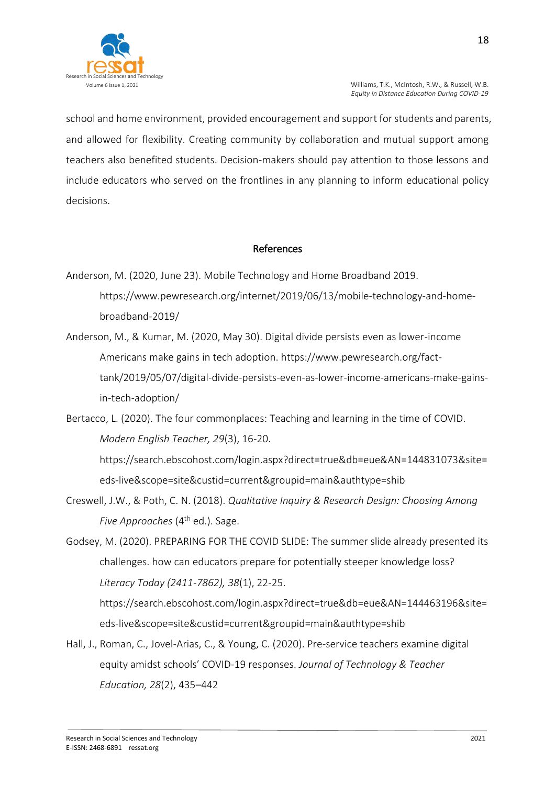

school and home environment, provided encouragement and support for students and parents, and allowed for flexibility. Creating community by collaboration and mutual support among teachers also benefited students. Decision-makers should pay attention to those lessons and include educators who served on the frontlines in any planning to inform educational policy decisions.

### References

- Anderson, M. (2020, June 23). Mobile Technology and Home Broadband 2019. https://www.pewresearch.org/internet/2019/06/13/mobile-technology-and-homebroadband-2019/
- Anderson, M., & Kumar, M. (2020, May 30). Digital divide persists even as lower-income Americans make gains in tech adoption. https://www.pewresearch.org/facttank/2019/05/07/digital-divide-persists-even-as-lower-income-americans-make-gainsin-tech-adoption/
- Bertacco, L. (2020). The four commonplaces: Teaching and learning in the time of COVID. *Modern English Teacher, 29*(3), 16-20.

https://search.ebscohost.com/login.aspx?direct=true&db=eue&AN=144831073&site= eds-live&scope=site&custid=current&groupid=main&authtype=shib

- Creswell, J.W., & Poth, C. N. (2018). *Qualitative Inquiry & Research Design: Choosing Among Five Approaches* (4<sup>th</sup> ed.). Sage.
- Godsey, M. (2020). PREPARING FOR THE COVID SLIDE: The summer slide already presented its challenges. how can educators prepare for potentially steeper knowledge loss? *Literacy Today (2411-7862), 38*(1), 22-25.

[https://search.ebscohost.com/login.aspx?direct=true&db=eue&AN=144463196&site=](about:blank) [eds-live&scope=site&custid=current&groupid=main&authtype=shib](about:blank)

Hall, J., Roman, C., Jovel-Arias, C., & Young, C. (2020). Pre-service teachers examine digital equity amidst schools' COVID-19 responses. *Journal of Technology & Teacher Education, 28*(2), 435–442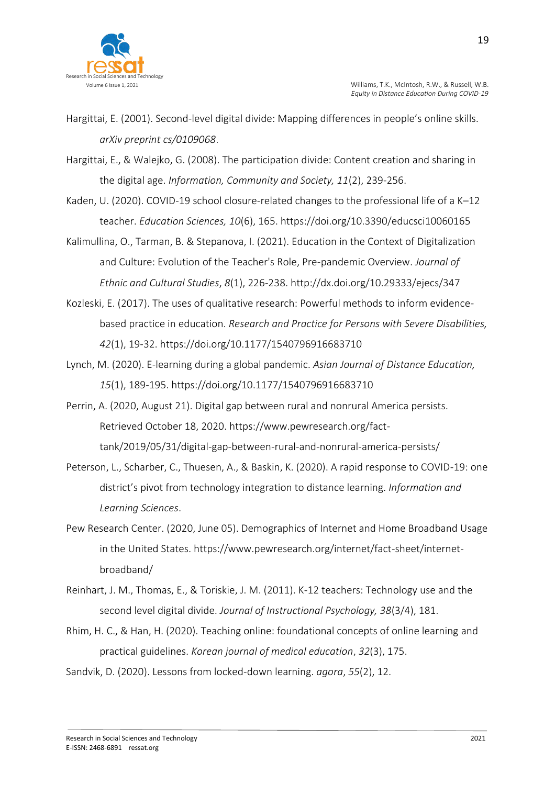

- Hargittai, E. (2001). Second-level digital divide: Mapping differences in people's online skills. *arXiv preprint cs/0109068*.
- Hargittai, E., & Walejko, G. (2008). The participation divide: Content creation and sharing in the digital age. *Information, Community and Society, 11*(2), 239-256.
- Kaden, U. (2020). COVID-19 school closure-related changes to the professional life of a K–12 teacher. *Education Sciences, 10*(6), 165. https://doi.org/10.3390/educsci10060165
- Kalimullina, O., Tarman, B. & Stepanova, I. (2021). Education in the Context of Digitalization and Culture: Evolution of the Teacher's Role, Pre-pandemic Overview. *Journal of Ethnic and Cultural Studies*, *8*(1), 226-238. http://dx.doi.org/10.29333/ejecs/347
- Kozleski, E. (2017). The uses of qualitative research: Powerful methods to inform evidencebased practice in education. *Research and Practice for Persons with Severe Disabilities, 42*(1), 19-32. https://doi.org/10.1177/1540796916683710
- Lynch, M. (2020). E-learning during a global pandemic. *Asian Journal of Distance Education, 15*(1), 189-195. https://doi.org/10.1177/1540796916683710
- Perrin, A. (2020, August 21). Digital gap between rural and nonrural America persists. Retrieved October 18, 2020. https://www.pewresearch.org/facttank/2019/05/31/digital-gap-between-rural-and-nonrural-america-persists/
- Peterson, L., Scharber, C., Thuesen, A., & Baskin, K. (2020). A rapid response to COVID-19: one district's pivot from technology integration to distance learning. *Information and Learning Sciences*.
- Pew Research Center. (2020, June 05). Demographics of Internet and Home Broadband Usage in the United States. https://www.pewresearch.org/internet/fact-sheet/internetbroadband/
- Reinhart, J. M., Thomas, E., & Toriskie, J. M. (2011). K-12 teachers: Technology use and the second level digital divide. *Journal of Instructional Psychology, 38*(3/4), 181.
- Rhim, H. C., & Han, H. (2020). Teaching online: foundational concepts of online learning and practical guidelines. *Korean journal of medical education*, *32*(3), 175.
- Sandvik, D. (2020). Lessons from locked-down learning. *agora*, *55*(2), 12.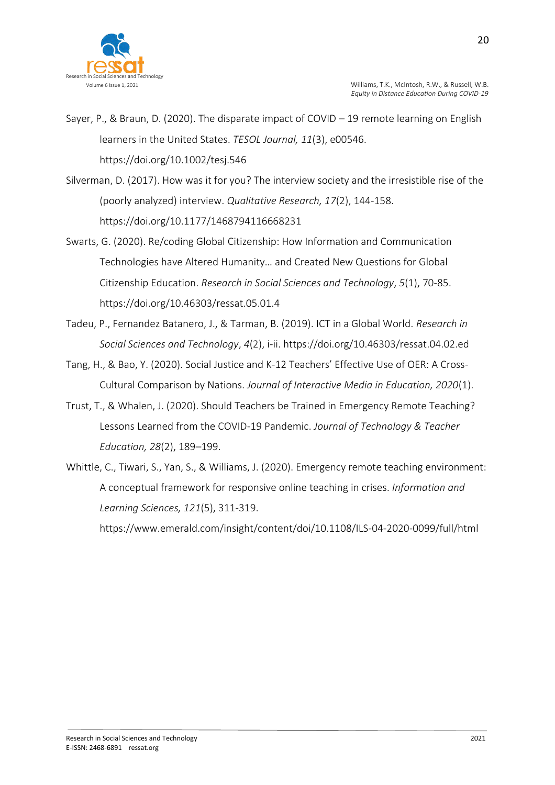

- Sayer, P., & Braun, D. (2020). The disparate impact of COVID 19 remote learning on English learners in the United States. *TESOL Journal, 11*(3), e00546. https://doi.org/10.1002/tesj.546
- Silverman, D. (2017). How was it for you? The interview society and the irresistible rise of the (poorly analyzed) interview. *Qualitative Research, 17*(2), 144-158. https://doi.org/10.1177/1468794116668231
- Swarts, G. (2020). Re/coding Global Citizenship: How Information and Communication Technologies have Altered Humanity… and Created New Questions for Global Citizenship Education. *Research in Social Sciences and Technology*, *5*(1), 70-85. https://doi.org/10.46303/ressat.05.01.4
- Tadeu, P., Fernandez Batanero, J., & Tarman, B. (2019). ICT in a Global World. *Research in Social Sciences and Technology*, *4*(2), i-ii. https://doi.org/10.46303/ressat.04.02.ed
- Tang, H., & Bao, Y. (2020). Social Justice and K-12 Teachers' Effective Use of OER: A Cross-Cultural Comparison by Nations. *Journal of Interactive Media in Education, 2020*(1).
- Trust, T., & Whalen, J. (2020). Should Teachers be Trained in Emergency Remote Teaching? Lessons Learned from the COVID-19 Pandemic. *Journal of Technology & Teacher Education, 28*(2), 189–199.
- Whittle, C., Tiwari, S., Yan, S., & Williams, J. (2020). Emergency remote teaching environment: A conceptual framework for responsive online teaching in crises. *Information and Learning Sciences, 121*(5), 311-319.

https://www.emerald.com/insight/content/doi/10.1108/ILS-04-2020-0099/full/html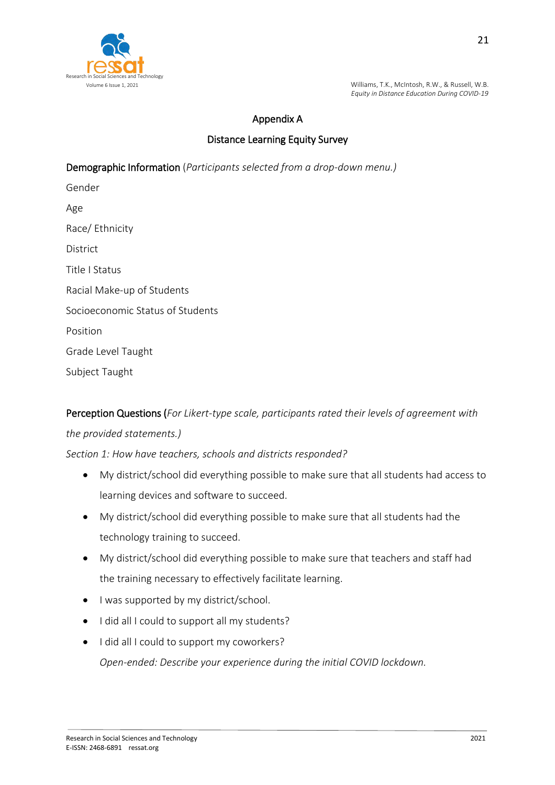

## Appendix A

## Distance Learning Equity Survey

Demographic Information (*Participants selected from a drop-down menu.)*

Gender Age Race/ Ethnicity District Title I Status Racial Make-up of Students Socioeconomic Status of Students Position Grade Level Taught Subject Taught

Perception Questions (*For Likert-type scale, participants rated their levels of agreement with the provided statements.)*

### *Section 1: How have teachers, schools and districts responded?*

- My district/school did everything possible to make sure that all students had access to learning devices and software to succeed.
- My district/school did everything possible to make sure that all students had the technology training to succeed.
- My district/school did everything possible to make sure that teachers and staff had the training necessary to effectively facilitate learning.
- I was supported by my district/school.
- $\bullet$  I did all I could to support all my students?
- $\bullet$  I did all I could to support my coworkers? *Open-ended: Describe your experience during the initial COVID lockdown.*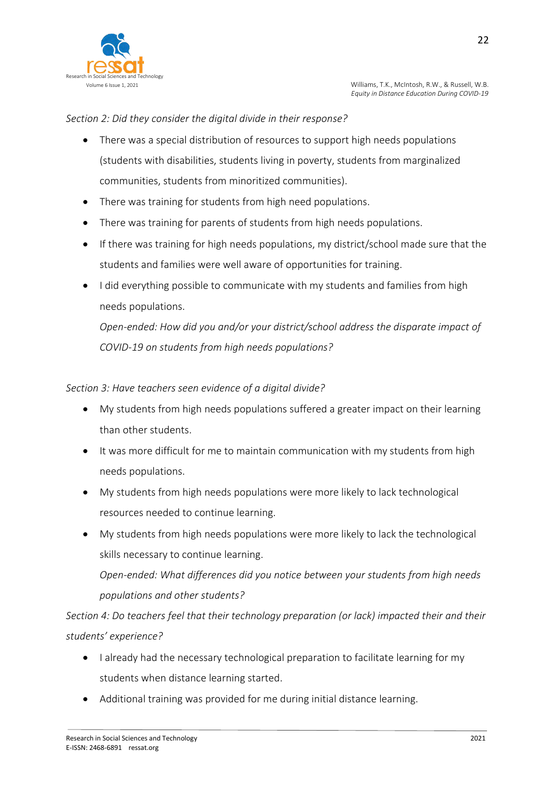

### *Section 2: Did they consider the digital divide in their response?*

- There was a special distribution of resources to support high needs populations (students with disabilities, students living in poverty, students from marginalized communities, students from minoritized communities).
- There was training for students from high need populations.
- There was training for parents of students from high needs populations.
- If there was training for high needs populations, my district/school made sure that the students and families were well aware of opportunities for training.
- I did everything possible to communicate with my students and families from high needs populations.

*Open-ended: How did you and/or your district/school address the disparate impact of COVID-19 on students from high needs populations?*

### *Section 3: Have teachers seen evidence of a digital divide?*

- My students from high needs populations suffered a greater impact on their learning than other students.
- It was more difficult for me to maintain communication with my students from high needs populations.
- My students from high needs populations were more likely to lack technological resources needed to continue learning.
- My students from high needs populations were more likely to lack the technological skills necessary to continue learning.

*Open-ended: What differences did you notice between your students from high needs populations and other students?*

*Section 4: Do teachers feel that their technology preparation (or lack) impacted their and their students' experience?*

- I already had the necessary technological preparation to facilitate learning for my students when distance learning started.
- Additional training was provided for me during initial distance learning.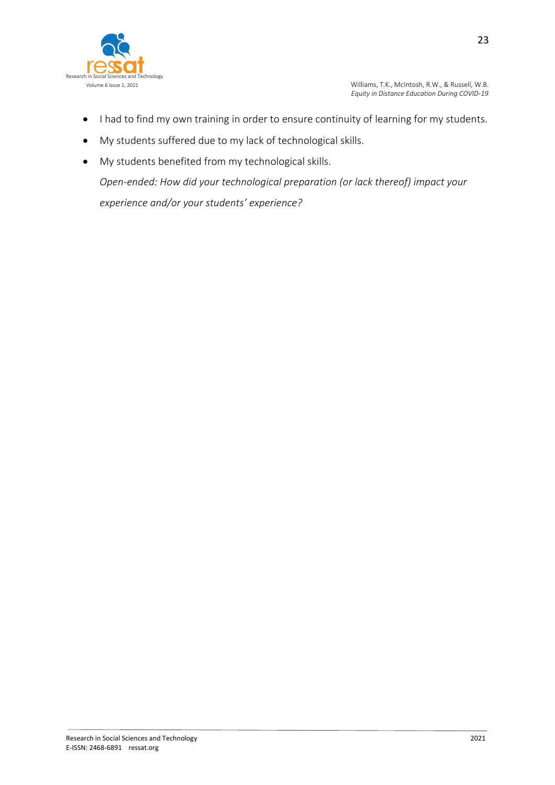

- I had to find my own training in order to ensure continuity of learning for my students.
- My students suffered due to my lack of technological skills.
- My students benefited from my technological skills.

*Open-ended: How did your technological preparation (or lack thereof) impact your experience and/or your students' experience?*